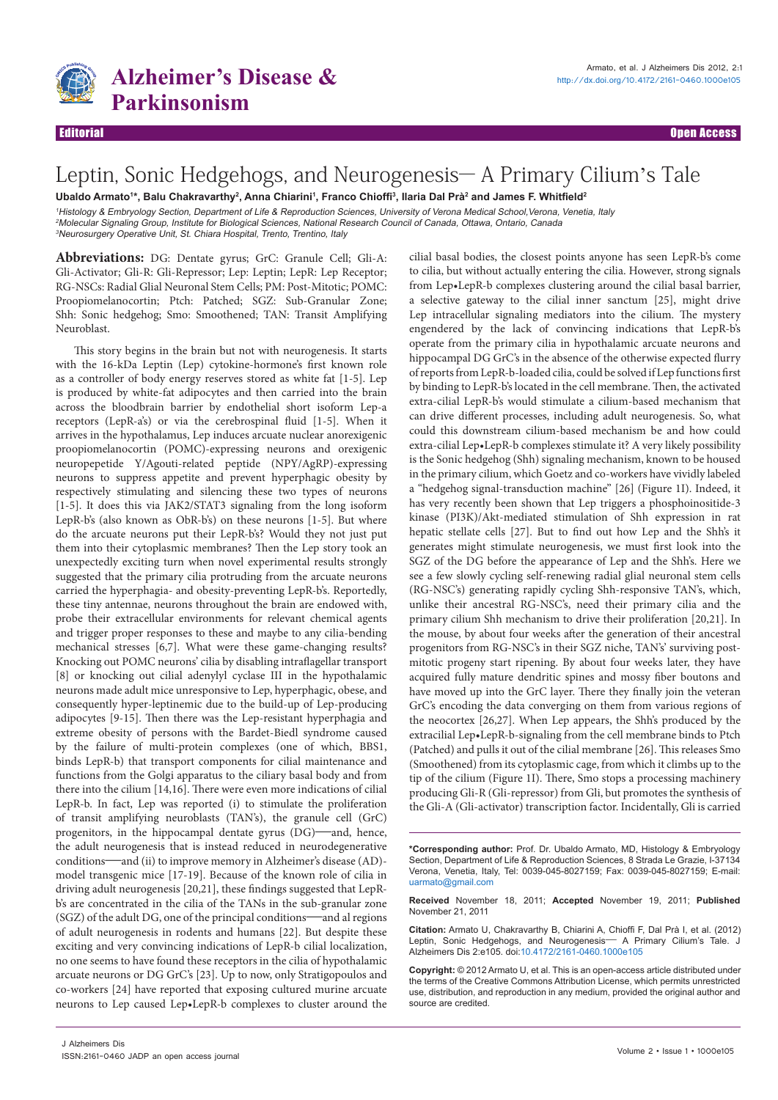

Editorial Open Access

# Leptin, Sonic Hedgehogs, and Neurogenesis- A Primary Cilium's Tale

Ubaldo Armato<sup>1</sup>\*, Balu Chakravarthy<sup>2</sup>, Anna Chiarini<sup>ı</sup>, Franco Chioffi<sup>3</sup>, Ilaria Dal Prà<sup>2</sup> and James F. Whitfield<sup>2</sup>

<sup>1</sup>Histology & Embryology Section, Department of Life & Reproduction Sciences, University of Verona Medical School,Verona, Venetia, Italy <sup>2</sup>Molecular Signaling Group, Institute for Biological Sciences, National Research Council of Canada, Ottawa, Ontario, Canada <sup>3</sup>Neurosurgery Operative Unit, St. Chiara Hospital, Trento, Trentino, Italy

**Abbreviations:** DG: Dentate gyrus; GrC: Granule Cell; Gli‐A: Gli‐Activator; Gli‐R: Gli‐Repressor; Lep: Leptin; LepR: Lep Receptor; RG‐NSCs: Radial Glial Neuronal Stem Cells; PM: Post‐Mitotic; POMC: Proopiomelanocortin; Ptch: Patched; SGZ: Sub‐Granular Zone; Shh: Sonic hedgehog; Smo: Smoothened; TAN: Transit Amplifying Neuroblast.

This story begins in the brain but not with neurogenesis. It starts with the 16-kDa Leptin (Lep) cytokine-hormone's first known role as a controller of body energy reserves stored as white fat [1-5]. Lep is produced by white-fat adipocytes and then carried into the brain across the bloodbrain barrier by endothelial short isoform Lep-a receptors (LepR-a's) or via the cerebrospinal fluid [1-5]. When it arrives in the hypothalamus, Lep induces arcuate nuclear anorexigenic proopiomelanocortin (POMC)-expressing neurons and orexigenic neuropepetide Y/Agouti-related peptide (NPY/AgRP)-expressing neurons to suppress appetite and prevent hyperphagic obesity by respectively stimulating and silencing these two types of neurons [1-5]. It does this via JAK2/STAT3 signaling from the long isoform LepR-b's (also known as ObR-b's) on these neurons [1-5]. But where do the arcuate neurons put their LepR-b's? Would they not just put them into their cytoplasmic membranes? Then the Lep story took an unexpectedly exciting turn when novel experimental results strongly suggested that the primary cilia protruding from the arcuate neurons carried the hyperphagia- and obesity-preventing LepR-b's. Reportedly, these tiny antennae, neurons throughout the brain are endowed with, probe their extracellular environments for relevant chemical agents and trigger proper responses to these and maybe to any cilia-bending mechanical stresses [6,7]. What were these game-changing results? Knocking out POMC neurons' cilia by disabling intraflagellar transport [8] or knocking out cilial adenylyl cyclase III in the hypothalamic neurons made adult mice unresponsive to Lep, hyperphagic, obese, and consequently hyper-leptinemic due to the build-up of Lep-producing adipocytes [9-15]. Then there was the Lep-resistant hyperphagia and extreme obesity of persons with the Bardet-Biedl syndrome caused by the failure of multi-protein complexes (one of which, BBS1, binds LepR-b) that transport components for cilial maintenance and functions from the Golgi apparatus to the ciliary basal body and from there into the cilium [14,16]. There were even more indications of cilial LepR-b. In fact, Lep was reported (i) to stimulate the proliferation of transit amplifying neuroblasts (TAN's), the granule cell (GrC) progenitors, in the hippocampal dentate gyrus (DG)—and, hence, the adult neurogenesis that is instead reduced in neurodegenerative conditions—and (ii) to improve memory in Alzheimer's disease (AD)model transgenic mice [17-19]. Because of the known role of cilia in driving adult neurogenesis [20,21], these findings suggested that LepRb's are concentrated in the cilia of the TANs in the sub-granular zone (SGZ) of the adult DG, one of the principal conditions—and al regions of adult neurogenesis in rodents and humans [22]. But despite these exciting and very convincing indications of LepR-b cilial localization, no one seems to have found these receptors in the cilia of hypothalamic arcuate neurons or DG GrC's [23]. Up to now, only Stratigopoulos and co-workers [24] have reported that exposing cultured murine arcuate neurons to Lep caused Lep•LepR-b complexes to cluster around the

cilial basal bodies, the closest points anyone has seen LepR-b's come to cilia, but without actually entering the cilia. However, strong signals from Lep•LepR-b complexes clustering around the cilial basal barrier, a selective gateway to the cilial inner sanctum [25], might drive Lep intracellular signaling mediators into the cilium. The mystery engendered by the lack of convincing indications that LepR-b's operate from the primary cilia in hypothalamic arcuate neurons and hippocampal DG GrC's in the absence of the otherwise expected flurry of reports from LepR-b-loaded cilia, could be solved if Lep functions first by binding to LepR-b's located in the cell membrane. Then, the activated extra-cilial LepR-b's would stimulate a cilium-based mechanism that can drive different processes, including adult neurogenesis. So, what could this downstream cilium-based mechanism be and how could extra-cilial Lep•LepR-b complexes stimulate it? A very likely possibility is the Sonic hedgehog (Shh) signaling mechanism, known to be housed in the primary cilium, which Goetz and co-workers have vividly labeled a "hedgehog signal-transduction machine" [26] (Figure 1I). Indeed, it has very recently been shown that Lep triggers a phosphoinositide-3 kinase (PI3K)/Akt-mediated stimulation of Shh expression in rat hepatic stellate cells [27]. But to find out how Lep and the Shh's it generates might stimulate neurogenesis, we must first look into the SGZ of the DG before the appearance of Lep and the Shh's. Here we see a few slowly cycling self-renewing radial glial neuronal stem cells (RG-NSC's) generating rapidly cycling Shh-responsive TAN's, which, unlike their ancestral RG-NSC's, need their primary cilia and the primary cilium Shh mechanism to drive their proliferation [20,21]. In the mouse, by about four weeks after the generation of their ancestral progenitors from RG-NSC's in their SGZ niche, TAN's' surviving postmitotic progeny start ripening. By about four weeks later, they have acquired fully mature dendritic spines and mossy fiber boutons and have moved up into the GrC layer. There they finally join the veteran GrC's encoding the data converging on them from various regions of the neocortex [26,27]. When Lep appears, the Shh's produced by the extracilial Lep•LepR-b-signaling from the cell membrane binds to Ptch (Patched) and pulls it out of the cilial membrane [26]. This releases Smo (Smoothened) from its cytoplasmic cage, from which it climbs up to the tip of the cilium (Figure 1I). There, Smo stops a processing machinery producing Gli-R (Gli-repressor) from Gli, but promotes the synthesis of the Gli-A (Gli-activator) transcription factor. Incidentally, Gli is carried

**Received** November 18, 2011; **Accepted** November 19, 2011; **Published** November 21, 2011

**Citation:** Armato U, Chakravarthy B, Chiarini A, Chioffi F, Dal Prà I, et al. (2012) Leptin, Sonic Hedgehogs, and Neurogenesis- A Primary Cilium's Tale. J Alzheimers Dis 2:e105. do[i:10.4172/2161-0460.1000e105](http://dx.doi.org/10.4172/2161-0460.1000e105)

**Copyright:** © 2012 Armato U, et al. This is an open-access article distributed under the terms of the Creative Commons Attribution License, which permits unrestricted use, distribution, and reproduction in any medium, provided the original author and source are credited.

**<sup>\*</sup>Corresponding author:** Prof. Dr. Ubaldo Armato, MD, Histology & Embryology Section, Department of Life & Reproduction Sciences, 8 Strada Le Grazie, I-37134 Verona, Venetia, Italy, Tel: 0039-045-8027159; Fax: 0039-045-8027159; E-mail: uarmato@gmail.com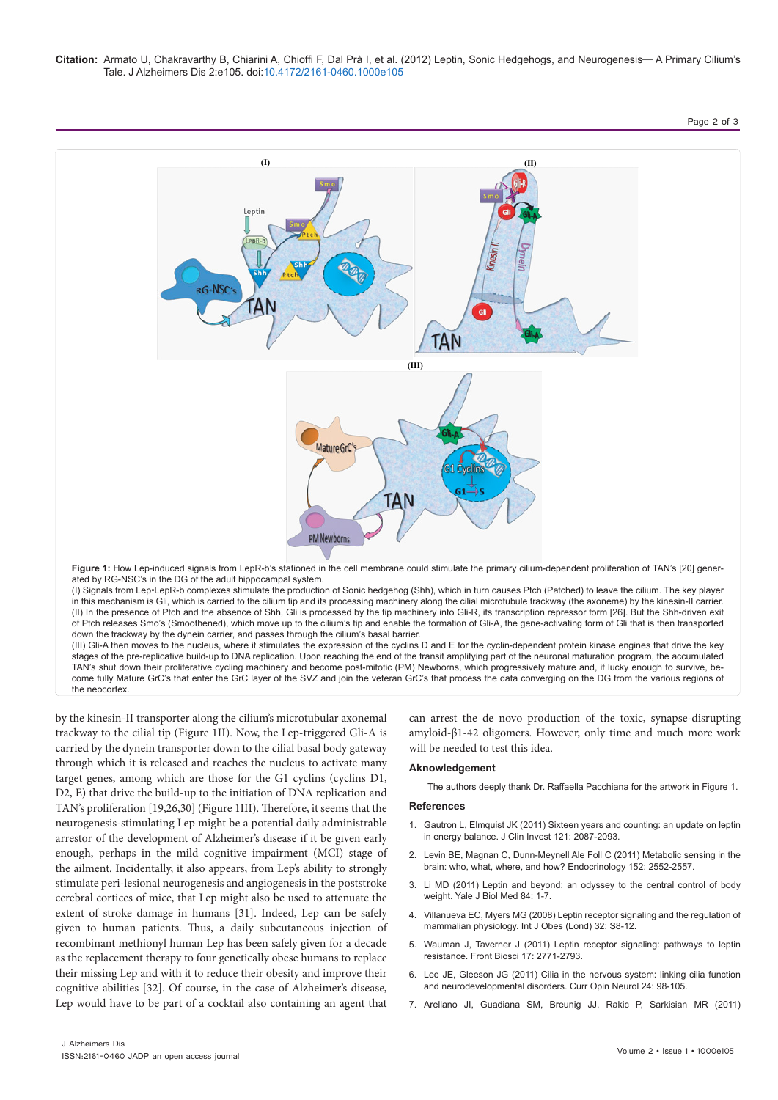# Page 2 of 3



of Ptch releases Smo's (Smoothened), which move up to the cilium's tip and enable the formation of Gli-A, the gene-activating form of Gli that is then transported down the trackway by the dynein carrier, and passes through the cilium's basal barrier. (III) Gli-A then moves to the nucleus, where it stimulates the expression of the cyclins D and E for the cyclin-dependent protein kinase engines that drive the key

stages of the pre-replicative build-up to DNA replication. Upon reaching the end of the transit amplifying part of the neuronal maturation program, the accumulated TAN's shut down their proliferative cycling machinery and become post-mitotic (PM) Newborns, which progressively mature and, if lucky enough to survive, become fully Mature GrC's that enter the GrC layer of the SVZ and join the veteran GrC's that process the data converging on the DG from the various regions of the neocortex.

by the kinesin-II transporter along the cilium's microtubular axonemal trackway to the cilial tip (Figure 1II). Now, the Lep-triggered Gli-A is carried by the dynein transporter down to the cilial basal body gateway through which it is released and reaches the nucleus to activate many target genes, among which are those for the G1 cyclins (cyclins D1, D2, E) that drive the build-up to the initiation of DNA replication and TAN's proliferation [19,26,30] (Figure 1III). Therefore, it seems that the neurogenesis-stimulating Lep might be a potential daily administrable arrestor of the development of Alzheimer's disease if it be given early enough, perhaps in the mild cognitive impairment (MCI) stage of the ailment. Incidentally, it also appears, from Lep's ability to strongly stimulate peri-lesional neurogenesis and angiogenesis in the poststroke cerebral cortices of mice, that Lep might also be used to attenuate the extent of stroke damage in humans [31]. Indeed, Lep can be safely given to human patients. Thus, a daily subcutaneous injection of recombinant methionyl human Lep has been safely given for a decade as the replacement therapy to four genetically obese humans to replace their missing Lep and with it to reduce their obesity and improve their cognitive abilities [32]. Of course, in the case of Alzheimer's disease, Lep would have to be part of a cocktail also containing an agent that

can arrest the de novo production of the toxic, synapse-disrupting amyloid-β1-42 oligomers. However, only time and much more work will be needed to test this idea.

#### **Aknowledgement**

The authors deeply thank Dr. Raffaella Pacchiana for the artwork in Figure 1.

### **References**

- 1. [Gautron L, Elmquist JK \(2011\) Sixteen years and counting: an update on leptin](http://www.ncbi.nlm.nih.gov/pubmed/21633176)  in energy balance. J Clin Invest 121: 2087-2093.
- 2. [Levin BE, Magnan C, Dunn-Meynell Ale Foll C \(2011\) Metabolic sensing in the](http://www.ncbi.nlm.nih.gov/pubmed/21521751)  brain: who, what, where, and how? Endocrinology 152: 2552-2557.
- 3. [Li MD \(2011\) Leptin and beyond: an odyssey to the central control of body](http://www.ncbi.nlm.nih.gov/pubmed/21451778)  weight. Yale J Biol Med 84: 1-7.
- 4. [Villanueva EC, Myers MG \(2008\) Leptin receptor signaling and the regulation of](http://www.ncbi.nlm.nih.gov/pubmed/19136996)  mammalian physiology. Int J Obes (Lond) 32: S8-12.
- 5. [Wauman J, Taverner J \(2011\) Leptin receptor signaling: pathways to leptin](http://www.ncbi.nlm.nih.gov/pubmed/21622208)  resistance. Front Biosci 17: 2771-2793.
- 6. [Lee JE, Gleeson JG \(2011\) Cilia in the nervous system: linking cilia function](http://www.ncbi.nlm.nih.gov/pubmed/21386674)  and neurodevelopmental disorders. Curr Opin Neurol 24: 98-105.
- 7. [Arellano JI, Guadiana SM, Breunig JJ, Rakic P, Sarkisian MR \(2011\)](http://www.ncbi.nlm.nih.gov/pubmed/22020803)